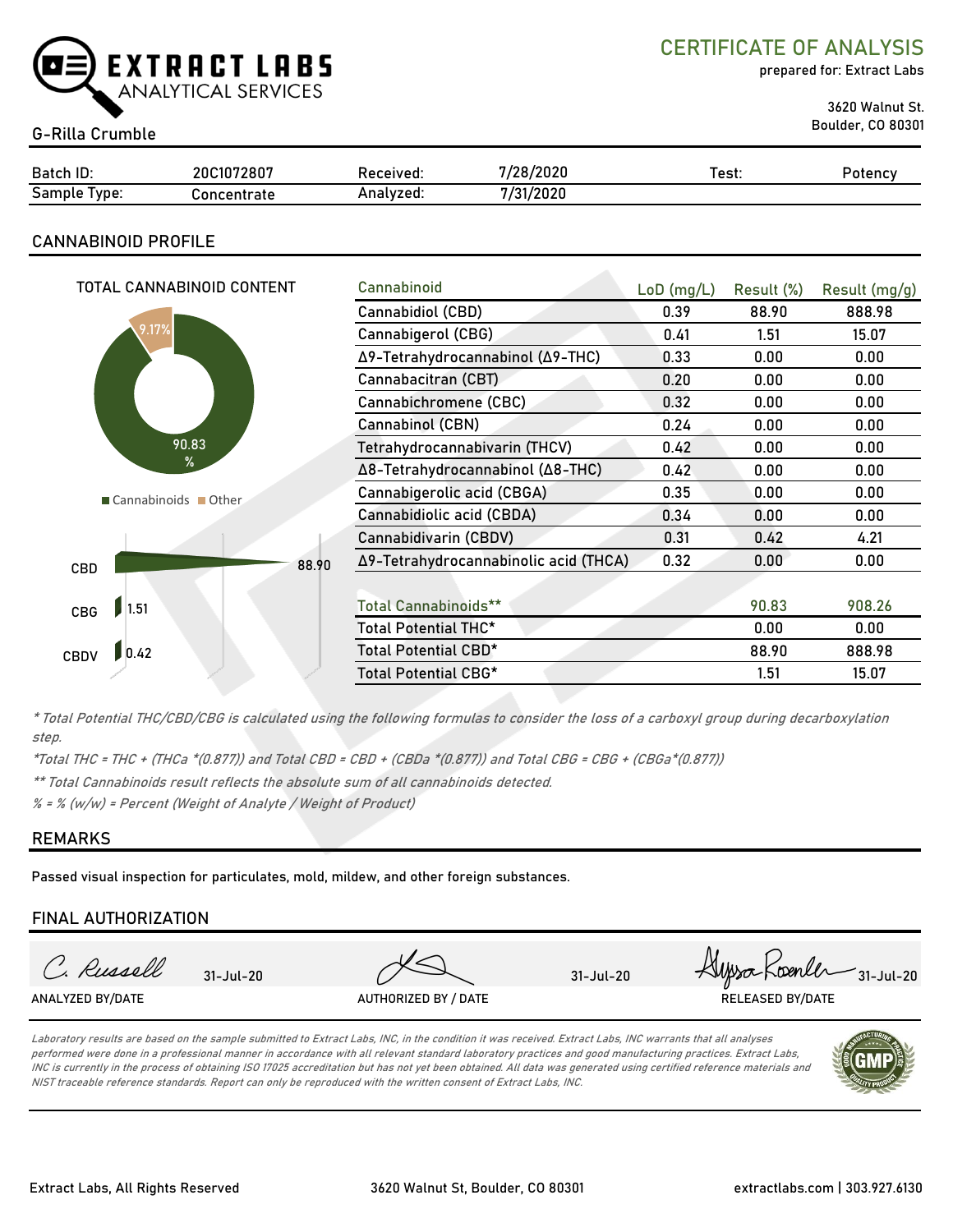

CERTIFICATE OF ANALYSIS

prepared for: Extract Labs

3620 Walnut St.

# Boulder, CO 80301 G-Rilla Crumble

| Batch ID:                                  | 1072807<br>?Οι | Received: | '/28/2020    | Test: | 'otency |
|--------------------------------------------|----------------|-----------|--------------|-------|---------|
| $\overline{\phantom{0}}$<br>Sample<br>vpe: | dlt            | \nalvzed. | 70.5<br>ZUZU |       |         |

# CANNABINOID PROFILE

| TOTAL CANNABINOID CONTENT | Cannabinoid                                    | $LoD$ (mg/L) | Result (%) | Result (mg/g) |
|---------------------------|------------------------------------------------|--------------|------------|---------------|
|                           | Cannabidiol (CBD)                              | 0.39         | 88.90      | 888.98        |
| 9.17%                     | Cannabigerol (CBG)                             | 0.41         | 1.51       | 15.07         |
|                           | Δ9-Tetrahydrocannabinol (Δ9-THC)               | 0.33         | 0.00       | 0.00          |
|                           | Cannabacitran (CBT)                            | 0.20         | 0.00       | 0.00          |
|                           | Cannabichromene (CBC)                          | 0.32         | 0.00       | 0.00          |
|                           | Cannabinol (CBN)                               | 0.24         | 0.00       | 0.00          |
| 90.83                     | Tetrahydrocannabivarin (THCV)                  | 0.42         | 0.00       | 0.00          |
| %                         | Δ8-Tetrahydrocannabinol (Δ8-THC)               | 0.42         | 0.00       | 0.00          |
| Cannabinoids Other        | Cannabigerolic acid (CBGA)                     | 0.35         | 0.00       | 0.00          |
|                           | Cannabidiolic acid (CBDA)                      | 0.34         | 0.00       | 0.00          |
|                           | Cannabidivarin (CBDV)                          | 0.31         | 0.42       | 4.21          |
| CBD                       | Δ9-Tetrahydrocannabinolic acid (THCA)<br>88.90 | 0.32         | 0.00       | 0.00          |
|                           |                                                |              |            |               |
| 1.51<br>CBG               | <b>Total Cannabinoids**</b>                    |              | 90.83      | 908.26        |
|                           | Total Potential THC*                           |              | 0.00       | 0.00          |
| 0.42<br><b>CBDV</b>       | Total Potential CBD*                           |              | 88.90      | 888.98        |
|                           | Total Potential CBG*                           |              | 1.51       | 15.07         |

\* Total Potential THC/CBD/CBG is calculated using the following formulas to consider the loss of a carboxyl group during decarboxylation step.

\*Total THC = THC + (THCa \*(0.877)) and Total CBD = CBD + (CBDa \*(0.877)) and Total CBG = CBG + (CBGa\*(0.877))

\*\* Total Cannabinoids result reflects the absolute sum of all cannabinoids detected.

 $% =$  % (w/w) = Percent (Weight of Analyte / Weight of Product)

# REMARKS

Passed visual inspection for particulates, mold, mildew, and other foreign substances.

# FINAL AUTHORIZATION

| Russell          | $31 - Jul - 20$ |                      | $31 -$ Jul $-20$ | Klima Koenler<br>31-Jul-20 |
|------------------|-----------------|----------------------|------------------|----------------------------|
| ANALYZED BY/DATE |                 | AUTHORIZED BY / DATE |                  | RELEASED BY/DATE           |
|                  |                 |                      |                  |                            |

Laboratory results are based on the sample submitted to Extract Labs, INC, in the condition it was received. Extract Labs, INC warrants that all analyses performed were done in a professional manner in accordance with all relevant standard laboratory practices and good manufacturing practices. Extract Labs, INC is currently in the process of obtaining ISO 17025 accreditation but has not yet been obtained. All data was generated using certified reference materials and NIST traceable reference standards. Report can only be reproduced with the written consent of Extract Labs, INC.

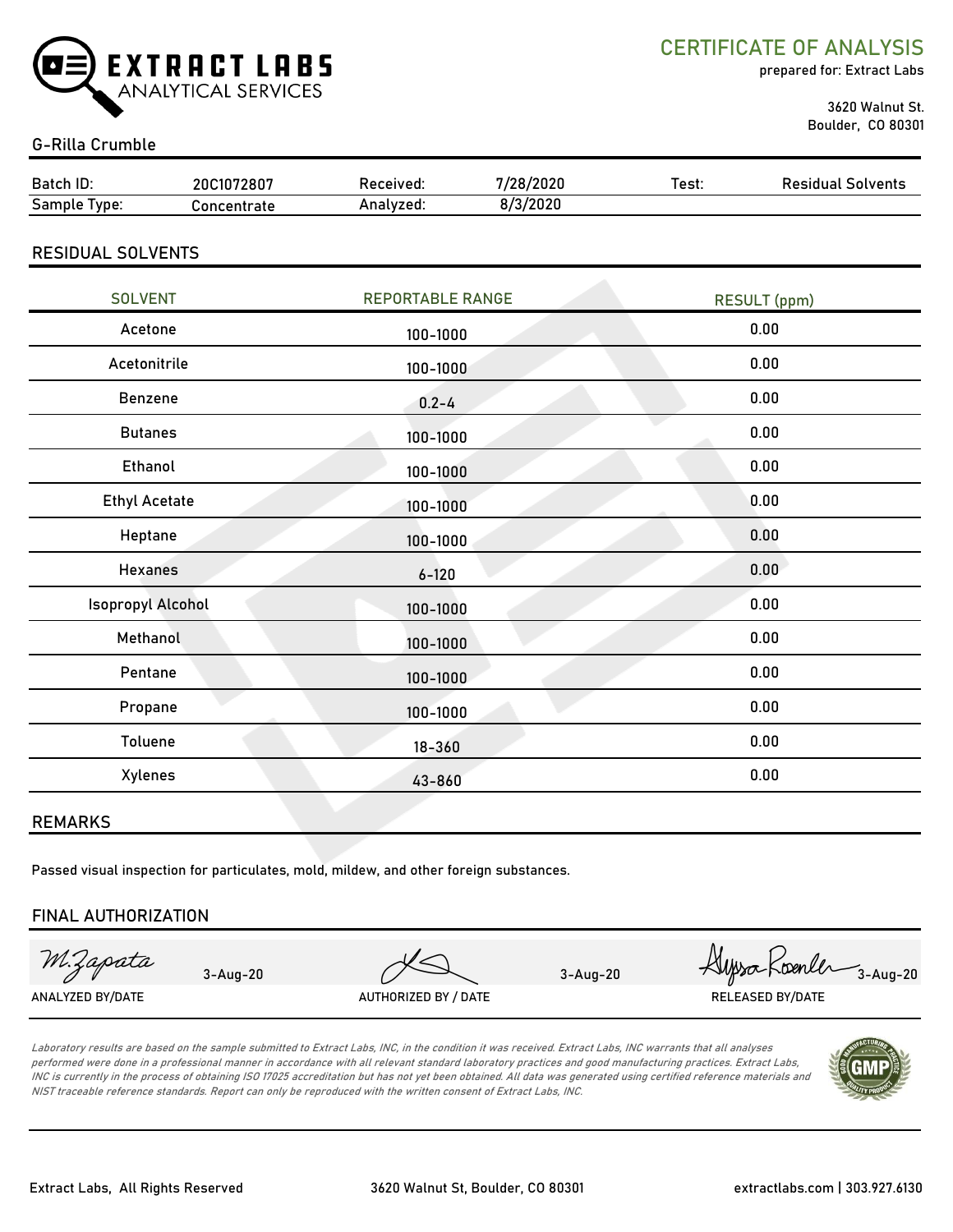

CERTIFICATE OF ANALYSIS

prepared for: Extract Labs

 3620 Walnut St. Boulder, CO 80301

### G-Rilla Crumble

| Batch ID:           | 20C1072807  | Received: | 7/28/2020 | Test: | <b>Residual Solvents</b> |
|---------------------|-------------|-----------|-----------|-------|--------------------------|
| <b>Sample Type:</b> | Concentrate | Analvzed: | 8/3/2020  |       |                          |
|                     |             |           |           |       |                          |

RESIDUAL SOLVENTS

| <b>SOLVENT</b>           | <b>REPORTABLE RANGE</b> | <b>RESULT</b> (ppm) |
|--------------------------|-------------------------|---------------------|
| Acetone                  | 100-1000                | 0.00                |
| Acetonitrile             | 100-1000                | 0.00                |
| Benzene                  | $0.2 - 4$               | 0.00                |
| <b>Butanes</b>           | 100-1000                | 0.00                |
| Ethanol                  | 100-1000                | 0.00                |
| <b>Ethyl Acetate</b>     | 100-1000                | 0.00                |
| Heptane                  | 100-1000                | 0.00                |
| <b>Hexanes</b>           | $6 - 120$               | 0.00                |
| <b>Isopropyl Alcohol</b> | 100-1000                | 0.00                |
| Methanol                 | 100-1000                | 0.00                |
| Pentane                  | 100-1000                | 0.00                |
| Propane                  | 100-1000                | 0.00                |
| Toluene                  | $18 - 360$              | 0.00                |
| Xylenes                  | 43-860                  | 0.00                |
|                          |                         |                     |

### REMARKS

Passed visual inspection for particulates, mold, mildew, and other foreign substances.

### FINAL AUTHORIZATION

M.Zapata

ANALYZED BY/DATE AUTHORIZED BY / DATE AUTHORIZED BY / DATE RELEASED BY/DATE

3-Aug-20 3-Aug-20 Hyso-Koonler 3-Aug-20

Laboratory results are based on the sample submitted to Extract Labs, INC, in the condition it was received. Extract Labs, INC warrants that all analyses performed were done in a professional manner in accordance with all relevant standard laboratory practices and good manufacturing practices. Extract Labs, INC is currently in the process of obtaining ISO 17025 accreditation but has not yet been obtained. All data was generated using certified reference materials and NIST traceable reference standards. Report can only be reproduced with the written consent of Extract Labs, INC.